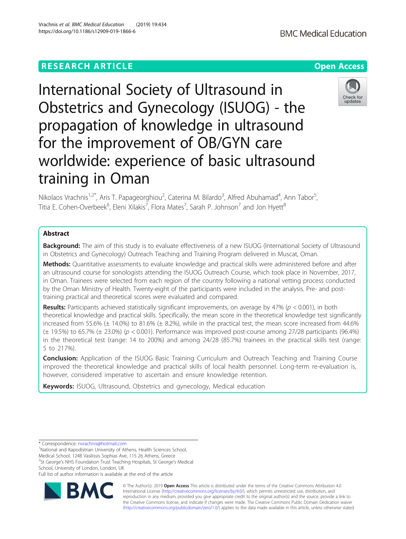# **RESEARCH ARTICLE Example 2014 12:30 The Contract of Contract ACCESS**

International Society of Ultrasound in Obstetrics and Gynecology (ISUOG) - the propagation of knowledge in ultrasound for the improvement of OB/GYN care worldwide: experience of basic ultrasound training in Oman

Nikolaos Vrachnis<sup>1,2\*</sup>, Aris T. Papageorghiou<sup>2</sup>, Caterina M. Bilardo<sup>3</sup>, Alfred Abuhamad<sup>4</sup>, Ann Tabor<sup>5</sup> , Titia E. Cohen-Overbeek $^6$ , Eleni Xilakis $^7$ , Flora Mates $^7$ , Sarah P. Johnson $^7$  and Jon Hyett $^8$ 

## Abstract

**Background:** The aim of this study is to evaluate effectiveness of a new ISUOG (International Society of Ultrasound in Obstetrics and Gynecology) Outreach Teaching and Training Program delivered in Muscat, Oman.

Methods: Quantitative assessments to evaluate knowledge and practical skills were administered before and after an ultrasound course for sonologists attending the ISUOG Outreach Course, which took place in November, 2017, in Oman. Trainees were selected from each region of the country following a national vetting process conducted by the Oman Ministry of Health. Twenty-eight of the participants were included in the analysis. Pre- and posttraining practical and theoretical scores were evaluated and compared.

Results: Participants achieved statistically significant improvements, on average by 47% ( $p < 0.001$ ), in both theoretical knowledge and practical skills. Specifically, the mean score in the theoretical knowledge test significantly increased from 55.6% ( $\pm$  14.0%) to 81.6% ( $\pm$  8.2%), while in the practical test, the mean score increased from 44.6%  $(\pm 19.5\%)$  to 65.7%  $(\pm 23.0\%)$  (p < 0.001). Performance was improved post-course among 27/28 participants (96.4%) in the theoretical test (range: 14 to 200%) and among 24/28 (85.7%) trainees in the practical skills test (range: 5 to 217%).

**Conclusion:** Application of the ISUOG Basic Training Curriculum and Outreach Teaching and Training Course improved the theoretical knowledge and practical skills of local health personnel. Long-term re-evaluation is, however, considered imperative to ascertain and ensure knowledge retention.

Keywords: ISUOG, Ultrasound, Obstetrics and gynecology, Medical education

<sup>1</sup>National and Kapodistrian University of Athens, Health Sciences School, Medical School, 124B Vasilissis Sophias Ave, 115 26 Athens, Greece <sup>2</sup>St George's NHS Foundation Trust Teaching Hospitals, St George's Medical School, University of London, London, UK

Full list of author information is available at the end of the article



© The Author(s). 2019 **Open Access** This article is distributed under the terms of the Creative Commons Attribution 4.0 International License [\(http://creativecommons.org/licenses/by/4.0/](http://creativecommons.org/licenses/by/4.0/)), which permits unrestricted use, distribution, and reproduction in any medium, provided you give appropriate credit to the original author(s) and the source, provide a link to the Creative Commons license, and indicate if changes were made. The Creative Commons Public Domain Dedication waiver [\(http://creativecommons.org/publicdomain/zero/1.0/](http://creativecommons.org/publicdomain/zero/1.0/)) applies to the data made available in this article, unless otherwise stated.





<sup>\*</sup> Correspondence: [nvrachnis@hotmail.com](mailto:nvrachnis@hotmail.com) <sup>1</sup>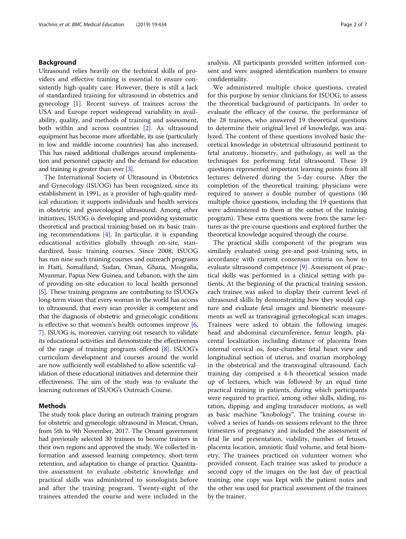## Background

Ultrasound relies heavily on the technical skills of providers and effective training is essential to ensure consistently high-quality care. However, there is still a lack of standardized training for ultrasound in obstetrics and gynecology [[1\]](#page-5-0). Recent surveys of trainees across the USA and Europe report widespread variability in availability, quality, and methods of training and assessment, both within and across countries [\[2](#page-6-0)]. As ultrasound equipment has become more affordable, its use (particularly in low and middle income countries) has also increased. This has raised additional challenges around implementation and personnel capacity and the demand for education and training is greater than ever [\[3\]](#page-6-0).

The International Society of Ultrasound in Obstetrics and Gynecology (ISUOG) has been recognized, since its establishment in 1991, as a provider of high-quality medical education; it supports individuals and health services in obstetric and gynecological ultrasound. Among other initiatives, ISUOG is developing and providing systematic theoretical and practical training based on its basic training recommendations  $[4]$ . In particular, it is expanding educational activities globally through on-site, standardized, basic training courses. Since 2008, ISUOG has run nine such training courses and outreach programs in Haiti, Somaliland, Sudan, Oman, Ghana, Mongolia, Myanmar, Papua New Guinea, and Lebanon, with the aim of providing on-site education to local health personnel [[5\]](#page-6-0). These training programs are contributing to ISUOG's long-term vision that every woman in the world has access to ultrasound, that every scan provider is competent and that the diagnosis of obstetric and gynecologic conditions is effective so that women's health outcomes improve [[6](#page-6-0), [7\]](#page-6-0). ISUOG is, moreover, carrying out research to validate its educational activities and demonstrate the effectiveness of the range of training programs offered [\[8](#page-6-0)]. ISUOG's curriculum development and courses around the world are now sufficiently well established to allow scientific validation of these educational initiatives and determine their effectiveness. The aim of the study was to evaluate the learning outcomes of ISUOG's Outreach Course.

## Methods

The study took place during an outreach training program for obstetric and gynecologic ultrasound in Muscat, Oman, from 5th to 9th November, 2017. The Omani government had previously selected 30 trainees to become trainers in their own regions and approved the study. We collected information and assessed learning competency, short-term retention, and adaptation to change of practice. Quantitative assessment to evaluate obstetric knowledge and practical skills was administered to sonologists before and after the training program. Twenty-eight of the trainees attended the course and were included in the analysis. All participants provided written informed consent and were assigned identification numbers to ensure confidentiality.

We administered multiple choice questions, created for this purpose by senior clinicians for ISUOG, to assess the theoretical background of participants. In order to evaluate the efficacy of the course, the performance of the 28 trainees, who answered 19 theoretical questions to determine their original level of knowledge, was analyzed. The content of these questions involved basic theoretical knowledge in obstetrical ultrasound pertinent to fetal anatomy, biometry, and pathology, as well as the techniques for performing fetal ultrasound. These 19 questions represented important learning points from all lectures delivered during the 5-day course. After the completion of the theoretical training, physicians were required to answer a double number of questions (40 multiple choice questions, including the 19 questions that were administered to them at the outset of the training program). These extra questions were from the same lectures as the pre-course questions and explored further the theoretical knowledge acquired through the course.

The practical skills component of the program was similarly evaluated using pre-and post-training sets, in accordance with current consensus criteria on how to evaluate ultrasound competence [[9\]](#page-6-0). Assessment of practical skills was performed in a clinical setting with patients. At the beginning of the practical training session, each trainee was asked to display their current level of ultrasound skills by demonstrating how they would capture and evaluate fetal images and biometric measurements as well as transvaginal gynecological scan images. Trainees were asked to obtain the following images: head and abdominal circumference, femur length, placental localization including distance of placenta from internal cervical os, four-chamber fetal heart view and longitudinal section of uterus, and ovarian morphology in the obstetrical and the transvaginal ultrasound. Each training day comprised a 4-h theoretical session made up of lectures, which was followed by an equal time practical training in patients, during which participants were required to practice, among other skills, sliding, rotation, dipping, and angling transducer motions, as well as basic machine "knobology". The training course involved a series of hands-on sessions relevant to the three trimesters of pregnancy and included the assessment of fetal lie and presentation, viability, number of fetuses, placenta location, amniotic fluid volume, and fetal biometry. The trainees practiced on volunteer women who provided consent. Each trainee was asked to produce a second copy of the images on the last day of practical training; one copy was kept with the patient notes and the other was used for practical assessment of the trainees by the trainer.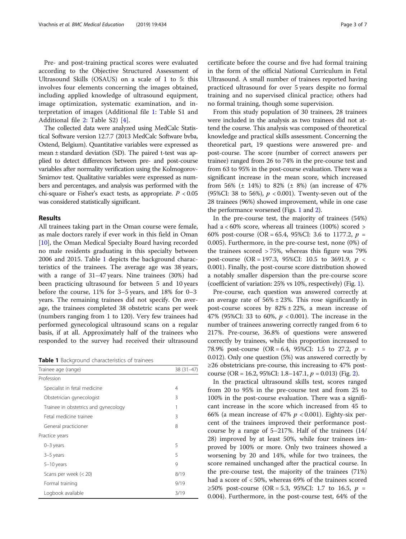Pre- and post-training practical scores were evaluated according to the Objective Structured Assessment of Ultrasound Skills (OSAUS) on a scale of 1 to 5: this involves four elements concerning the images obtained, including applied knowledge of ultrasound equipment, image optimization, systematic examination, and interpretation of images (Additional file [1:](#page-5-0) Table S1 and Additional file [2](#page-5-0): Table S2) [\[4](#page-6-0)].

The collected data were analyzed using MedCalc Statistical Software version 12.7.7 (2013 MedCalc Software bvba, Ostend, Belgium). Quantitative variables were expressed as mean ± standard deviation (SD). The paired t-test was applied to detect differences between pre- and post-course variables after normality verification using the Kolmogorov-Smirnov test. Qualitative variables were expressed as numbers and percentages, and analysis was performed with the chi-square or Fisher's exact tests, as appropriate.  $P < 0.05$ was considered statistically significant.

## Results

All trainees taking part in the Oman course were female, as male doctors rarely if ever work in this field in Oman [[10\]](#page-6-0), the Oman Medical Specialty Board having recorded no male residents graduating in this specialty between 2006 and 2015. Table 1 depicts the background characteristics of the trainees. The average age was 38 years, with a range of 31–47 years. Nine trainees (30%) had been practicing ultrasound for between 5 and 10 years before the course, 11% for 3–5 years, and 18% for 0–3 years. The remaining trainees did not specify. On average, the trainees completed 38 obstetric scans per week (numbers ranging from 1 to 120). Very few trainees had performed gynecological ultrasound scans on a regular basis, if at all. Approximately half of the trainees who responded to the survey had received their ultrasound

Table 1 Background characteristics of trainees

| Trainee age (range)                  | $38(31-47)$ |
|--------------------------------------|-------------|
| Profession                           |             |
| Specialist in fetal medicine         | 4           |
| Obstetrician gynecologist            | 3           |
| Trainee in obstetrics and gynecology | 1           |
| Fetal medicine trainee               | 3           |
| General practicioner                 | 8           |
| Practice years                       |             |
| $0-3$ years                          | 5           |
| 3–5 years                            | 5           |
| $5-10$ years                         | 9           |
| Scans per week $(< 20)$              | 8/19        |
| Formal training                      | 9/19        |
| Logbook available                    | 3/19        |

certificate before the course and five had formal training in the form of the official National Curriculum in Fetal Ultrasound. A small number of trainees reported having practiced ultrasound for over 5 years despite no formal training and no supervised clinical practice; others had no formal training, though some supervision.

From this study population of 30 trainees, 28 trainees were included in the analysis as two trainees did not attend the course. This analysis was composed of theoretical knowledge and practical skills assessment. Concerning the theoretical part, 19 questions were answered pre- and post-course. The score (number of correct answers per trainee) ranged from 26 to 74% in the pre-course test and from 63 to 95% in the post-course evaluation. There was a significant increase in the mean score, which increased from 56% (± 14%) to 82% (± 8%) (an increase of 47% (95%CI: 38 to 56%),  $p < 0.001$ ). Twenty-seven out of the 28 trainees (96%) showed improvement, while in one case the performance worsened (Figs. [1](#page-3-0) and [2](#page-3-0)).

In the pre-course test, the majority of trainees (54%) had a < 60% score, whereas all trainees (100%) scored > 60% post-course (OR = 65.4, 95%CI: 3.6 to 1177.2,  $p =$ 0.005). Furthermore, in the pre-course test, none (0%) of the trainees scored > 75%, whereas this figure was 79% post-course (OR = 197.3, 95%CI: 10.5 to 3691.9,  $p \le$ 0.001). Finally, the post-course score distribution showed a notably smaller dispersion than the pre-course score (coefficient of variation: 25% vs 10%, respectively) (Fig. [1](#page-3-0)).

Pre-course, each question was answered correctly at an average rate of  $56\% \pm 23\%$ . This rose significantly in post-course scores by  $82\% \pm 22\%$ , a mean increase of 47% (95%CI: 33 to 60%,  $p < 0.001$ ). The increase in the number of trainees answering correctly ranged from 6 to 217%. Pre-course, 36.8% of questions were answered correctly by trainees, while this proportion increased to 78.9% post-course (OR = 6.4, 95%CI: 1.5 to 27.2,  $p =$ 0.012). Only one question (5%) was answered correctly by ≥26 obstetricians pre-course, this increasing to 47% post-course (OR = 16.[2](#page-3-0), 95%CI: 1.8–147.1,  $p = 0.013$ ) (Fig. 2).

In the practical ultrasound skills test, scores ranged from 20 to 95% in the pre-course test and from 25 to 100% in the post-course evaluation. There was a significant increase in the score which increased from 45 to 66% (a mean increase of 47%  $p < 0.001$ ). Eighty-six percent of the trainees improved their performance postcourse by a range of 5–217%. Half of the trainees (14/ 28) improved by at least 50%, while four trainees improved by 100% or more. Only two trainees showed a worsening by 20 and 14%, while for two trainees, the score remained unchanged after the practical course. In the pre-course test, the majority of the trainees (71%) had a score of < 50%, whereas 69% of the trainees scored ≥50% post-course (OR = 5.3, 95%CI: 1.7 to 16.5,  $p =$ 0.004). Furthermore, in the post-course test, 64% of the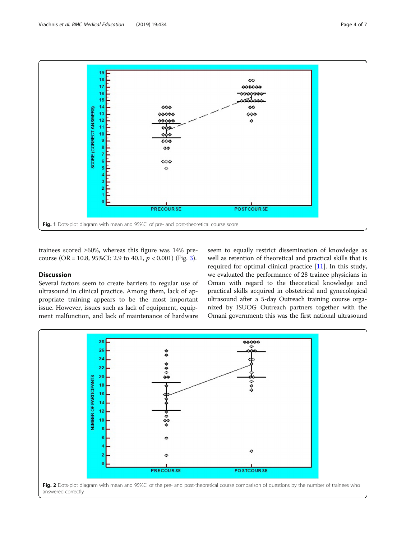<span id="page-3-0"></span>

trainees scored ≥60%, whereas this figure was 14% precourse (OR = 10.8, 95%CI: 2.9 to 40.1,  $p < 0.001$ ) (Fig. [3](#page-4-0)).

## **Discussion**

Several factors seem to create barriers to regular use of ultrasound in clinical practice. Among them, lack of appropriate training appears to be the most important issue. However, issues such as lack of equipment, equipment malfunction, and lack of maintenance of hardware

seem to equally restrict dissemination of knowledge as well as retention of theoretical and practical skills that is required for optimal clinical practice [[11\]](#page-6-0). In this study, we evaluated the performance of 28 trainee physicians in Oman with regard to the theoretical knowledge and practical skills acquired in obstetrical and gynecological ultrasound after a 5-day Outreach training course organized by ISUOG Outreach partners together with the Omani government; this was the first national ultrasound

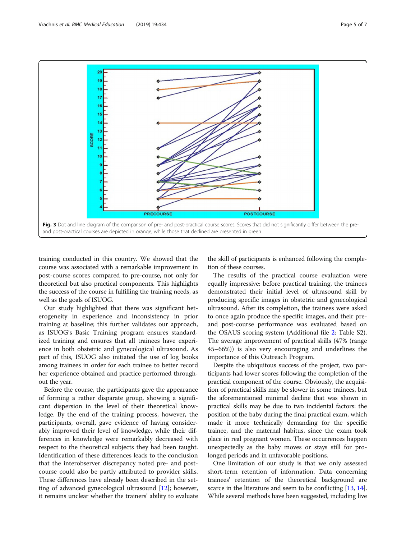<span id="page-4-0"></span>

training conducted in this country. We showed that the course was associated with a remarkable improvement in post-course scores compared to pre-course, not only for theoretical but also practical components. This highlights the success of the course in fulfilling the training needs, as well as the goals of ISUOG.

Our study highlighted that there was significant heterogeneity in experience and inconsistency in prior training at baseline; this further validates our approach, as ISUOG's Basic Training program ensures standardized training and ensures that all trainees have experience in both obstetric and gynecological ultrasound. As part of this, ISUOG also initiated the use of log books among trainees in order for each trainee to better record her experience obtained and practice performed throughout the year.

Before the course, the participants gave the appearance of forming a rather disparate group, showing a significant dispersion in the level of their theoretical knowledge. By the end of the training process, however, the participants, overall, gave evidence of having considerably improved their level of knowledge, while their differences in knowledge were remarkably decreased with respect to the theoretical subjects they had been taught. Identification of these differences leads to the conclusion that the interobserver discrepancy noted pre- and postcourse could also be partly attributed to provider skills. These differences have already been described in the setting of advanced gynecological ultrasound [\[12\]](#page-6-0); however, it remains unclear whether the trainers' ability to evaluate the skill of participants is enhanced following the completion of these courses.

The results of the practical course evaluation were equally impressive: before practical training, the trainees demonstrated their initial level of ultrasound skill by producing specific images in obstetric and gynecological ultrasound. After its completion, the trainees were asked to once again produce the specific images, and their preand post-course performance was evaluated based on the OSAUS scoring system (Additional file [2](#page-5-0): Table S2). The average improvement of practical skills (47% (range 45–66%)) is also very encouraging and underlines the importance of this Outreach Program.

Despite the ubiquitous success of the project, two participants had lower scores following the completion of the practical component of the course. Obviously, the acquisition of practical skills may be slower in some trainees, but the aforementioned minimal decline that was shown in practical skills may be due to two incidental factors: the position of the baby during the final practical exam, which made it more technically demanding for the specific trainee, and the maternal habitus, since the exam took place in real pregnant women. These occurrences happen unexpectedly as the baby moves or stays still for prolonged periods and in unfavorable positions.

One limitation of our study is that we only assessed short-term retention of information. Data concerning trainees' retention of the theoretical background are scarce in the literature and seem to be conflicting [\[13,](#page-6-0) [14](#page-6-0)]. While several methods have been suggested, including live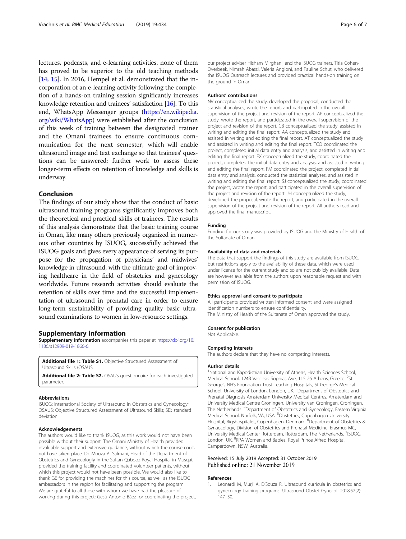<span id="page-5-0"></span>lectures, podcasts, and e-learning activities, none of them has proved to be superior to the old teaching methods [[14](#page-6-0), [15](#page-6-0)]. In 2016, Hempel et al. demonstrated that the incorporation of an e-learning activity following the completion of a hands-on training session significantly increases knowledge retention and trainees' satisfaction [\[16](#page-6-0)]. To this end, WhatsApp Messenger groups ([https://en.wikipedia.](https://en.wikipedia.org/wiki/WhatsApp) [org/wiki/WhatsApp\)](https://en.wikipedia.org/wiki/WhatsApp) were established after the conclusion of this week of training between the designated trainer and the Omani trainees to ensure continuous communication for the next semester, which will enable ultrasound image and text exchange so that trainees' questions can be answered; further work to assess these longer-term effects on retention of knowledge and skills is underway.

## Conclusion

The findings of our study show that the conduct of basic ultrasound training programs significantly improves both the theoretical and practical skills of trainees. The results of this analysis demonstrate that the basic training course in Oman, like many others previously organized in numerous other countries by ISUOG, successfully achieved the ISUOG goals and gives every appearance of serving its purpose for the propagation of physicians' and midwives' knowledge in ultrasound, with the ultimate goal of improving healthcare in the field of obstetrics and gynecology worldwide. Future research activities should evaluate the retention of skills over time and the successful implementation of ultrasound in prenatal care in order to ensure long-term sustainability of providing quality basic ultrasound examinations to women in low-resource settings.

## Supplementary information

Supplementary information accompanies this paper at [https://doi.org/10.](https://doi.org/10.1186/s12909-019-1866-6) [1186/s12909-019-1866-6.](https://doi.org/10.1186/s12909-019-1866-6)

Additional file 1: Table S1. Objective Structured Assessment of Ultrasound Skills (OSAUS.

Additional file 2: Table S2. OSAUS questionnaire for each investigated parameter.

#### Abbreviations

ISUOG: International Society of Ultrasound in Obstetrics and Gynecology; OSAUS: Objective Structured Assessment of Ultrasound Skills; SD: standard deviation

#### Acknowledgements

The authors would like to thank ISUOG, as this work would not have been possible without their support. The Omani Ministry of Health provided invaluable support and extensive guidance, without which the course could not have taken place. Dr. Mouza Al Salmani, Head of the Department of Obstetrics and Gynecologly in the Sultan Qabooz Royal Hospital in Musqat, provided the training facility and coordinated volunteer patients, without which this project would not have been possible. We would also like to thank GE for providing the machines for this course, as well as the ISUOG ambassadors in the region for facilitating and supporting the program. We are grateful to all those with whom we have had the pleasure of working during this project: Gesù Antonio Báez for coordinating the project, our project adviser Hisham Mirghani, and the ISUOG trainers, Titia Cohen-Overbeek, Nimrah Abassi, Valeria Angioni, and Pauline Schut, who delivered the ISUOG Outreach lectures and provided practical hands-on training on the ground in Oman.

## Authors' contributions

NV conceptualized the study, developed the proposal, conducted the statistical analyses, wrote the report, and participated in the overall supervision of the project and revision of the report. AP conceptualized the study, wrote the report, and participated in the overall supervision of the project and revision of the report. CB conceptualized the study, assisted in writing and editing the final report. AA conceptualized the study and assisted in writing and editing the final report. AT conceptualized the study and assisted in writing and editing the final report. TCO coordinated the project, completed initial data entry and analysis, and assisted in writing and editing the final report. EX conceptualized the study, coordinated the project, completed the initial data entry and analysis, and assisted in writing and editing the final report. FM coordinated the project, completed initial data entry and analysis, conducted the statistical analyses, and assisted in writing and editing the final report. SJ conceptualized the study, coordinated the project, wrote the report, and participated in the overall supervision of the project and revision of the report. JH conceptualized the study, developed the proposal, wrote the report, and participated in the overall supervision of the project and revision of the report. All authors read and approved the final manuscript.

### Funding

Funding for our study was provided by ISUOG and the Ministry of Health of the Sultanate of Oman.

### Availability of data and materials

The data that support the findings of this study are available from ISUOG, but restrictions apply to the availability of these data, which were used under license for the current study and so are not publicly available. Data are however available from the authors upon reasonable request and with permission of ISUOG.

#### Ethics approval and consent to participate

All participants provided written informed consent and were assigned identification numbers to ensure confidentiality. The Ministry of Health of the Sultanate of Oman approved the study.

#### Consent for publication

Not Applicable.

### Competing interests

The authors declare that they have no competing interests.

#### Author details

<sup>1</sup>National and Kapodistrian University of Athens, Health Sciences School Medical School, 124B Vasilissis Sophias Ave, 115 26 Athens, Greece. <sup>2</sup>St George's NHS Foundation Trust Teaching Hospitals, St George's Medical School, University of London, London, UK. <sup>3</sup> Department of Obstetrics and Prenatal Diagnosis Amsterdam University Medical Centres, Amsterdam and University Medical Centre Groningen, University van Groningen, Groningen, The Netherlands. <sup>4</sup>Department of Obstetrics and Gynecology, Eastern Virginia Medical School, Norfolk, VA, USA. <sup>5</sup>Obstetrics, Copenhagen University Hospital, Rigshospitalet, Copenhagen, Denmark. <sup>6</sup>Department of Obstetrics & Gynaecology, Division of Obstetrics and Prenatal Medicine, Erasmus MC, University Medical Center Rotterdam, Rotterdam, The Netherlands. 7ISUOG London, UK. <sup>8</sup>RPA Women and Babies, Royal Prince Alfred Hospital Camperdown, NSW, Australia.

## Received: 15 July 2019 Accepted: 31 October 2019 Published online: 21 November 2019

#### References

Leonardi M, Murji A, D'Souza R. Ultrasound curricula in obstetrics and gynecology training programs. Ultrasound Obstet Gynecol. 2018;52(2): 147–50.